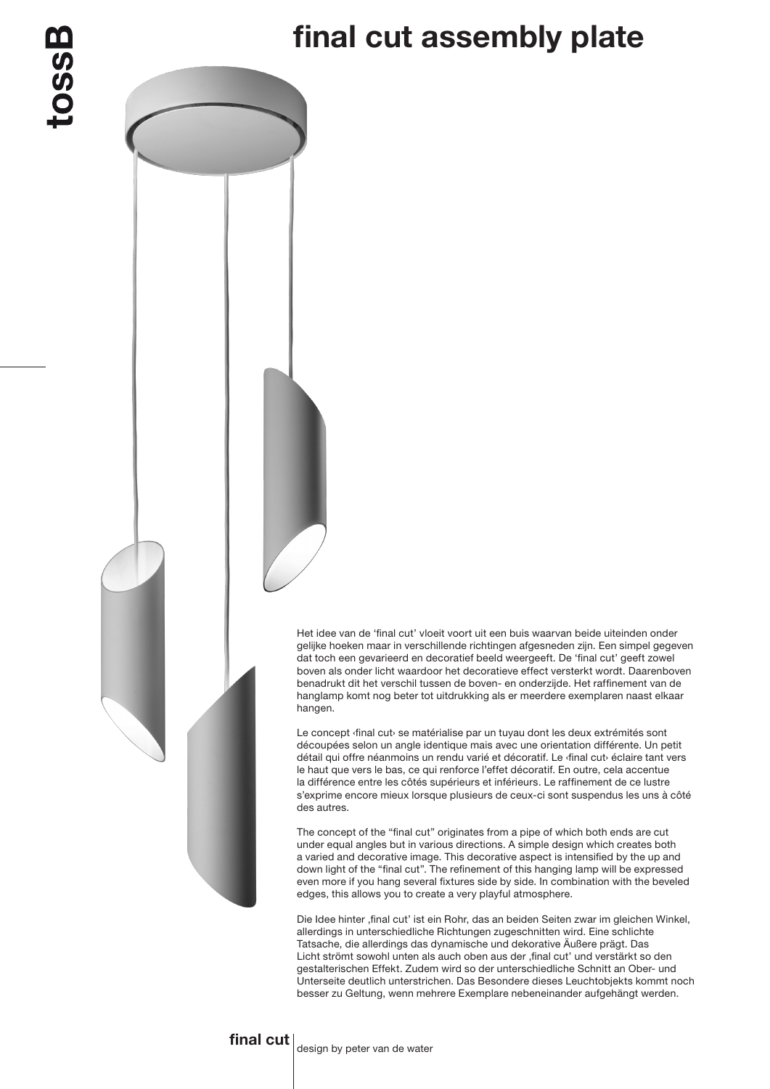## final cut assembly plate

Het idee van de 'final cut' vloeit voort uit een buis waarvan beide uiteinden onder gelijke hoeken maar in verschillende richtingen afgesneden zijn. Een simpel gegeven dat toch een gevarieerd en decoratief beeld weergeeft. De 'final cut' geeft zowel boven als onder licht waardoor het decoratieve effect versterkt wordt. Daarenboven benadrukt dit het verschil tussen de boven- en onderzijde. Het raffinement van de hanglamp komt nog beter tot uitdrukking als er meerdere exemplaren naast elkaar hangen.

Le concept *{final cut}* se matérialise par un tuyau dont les deux extrémités sont découpées selon un angle identique mais avec une orientation différente. Un petit détail qui offre néanmoins un rendu varié et décoratif. Le ‹final cut› éclaire tant vers le haut que vers le bas, ce qui renforce l'effet décoratif. En outre, cela accentue la différence entre les côtés supérieurs et inférieurs. Le raffinement de ce lustre s'exprime encore mieux lorsque plusieurs de ceux-ci sont suspendus les uns à côté des autres.

The concept of the "final cut" originates from a pipe of which both ends are cut under equal angles but in various directions. A simple design which creates both a varied and decorative image. This decorative aspect is intensified by the up and down light of the "final cut". The refinement of this hanging lamp will be expressed even more if you hang several fixtures side by side. In combination with the beveled edges, this allows you to create a very playful atmosphere.

Die Idee hinter ,final cut' ist ein Rohr, das an beiden Seiten zwar im gleichen Winkel, allerdings in unterschiedliche Richtungen zugeschnitten wird. Eine schlichte Tatsache, die allerdings das dynamische und dekorative Äußere prägt. Das Licht strömt sowohl unten als auch oben aus der , final cut' und verstärkt so den gestalterischen Effekt. Zudem wird so der unterschiedliche Schnitt an Ober- und Unterseite deutlich unterstrichen. Das Besondere dieses Leuchtobjekts kommt noch besser zu Geltung, wenn mehrere Exemplare nebeneinander aufgehängt werden.